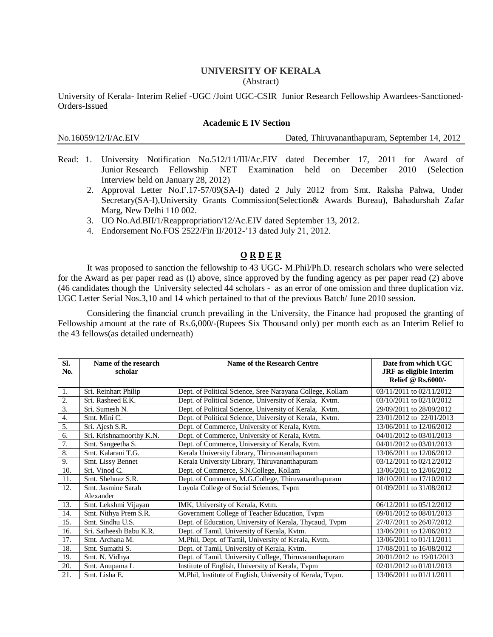## **UNIVERSITY OF KERALA** (Abstract)

University of Kerala- Interim Relief -UGC /Joint UGC-CSIR Junior Research Fellowship Awardees-Sanctioned-Orders-Issued

| <b>Academic E IV Section</b> |                                               |  |  |  |
|------------------------------|-----------------------------------------------|--|--|--|
| No.16059/12/I/Ac.EIV         | Dated, Thiruvananthapuram, September 14, 2012 |  |  |  |

- Read: 1. University Notification No.512/11/III/Ac.EIV dated December 17, 2011 for Award of Junior Research Fellowship NET Examination held on December 2010 (Selection Interview held on January 28, 2012)
	- 2. Approval Letter No.F.17-57/09(SA-I) dated 2 July 2012 from Smt. Raksha Pahwa, Under Secretary(SA-I),University Grants Commission(Selection& Awards Bureau), Bahadurshah Zafar Marg, New Delhi 110 002.
	- 3. UO No.Ad.BII/1/Reappropriation/12/Ac.EIV dated September 13, 2012.
	- 4. Endorsement No.FOS 2522/Fin II/2012-'13 dated July 21, 2012.

## **O R D E R**

It was proposed to sanction the fellowship to 43 UGC- M.Phil/Ph.D. research scholars who were selected for the Award as per paper read as (I) above, since approved by the funding agency as per paper read (2) above (46 candidates though the University selected 44 scholars - as an error of one omission and three duplication viz. UGC Letter Serial Nos.3,10 and 14 which pertained to that of the previous Batch/ June 2010 session.

Considering the financial crunch prevailing in the University, the Finance had proposed the granting of Fellowship amount at the rate of Rs.6,000/-(Rupees Six Thousand only) per month each as an Interim Relief to the 43 fellows(as detailed underneath)

| SI. | Name of the research     | <b>Name of the Research Centre</b>                        | Date from which UGC            |
|-----|--------------------------|-----------------------------------------------------------|--------------------------------|
| No. | scholar                  |                                                           | <b>JRF</b> as eligible Interim |
|     |                          |                                                           | <b>Relief @ Rs.6000/-</b>      |
| 1.  | Sri. Reinhart Philip     | Dept. of Political Science, Sree Narayana College, Kollam | 03/11/2011 to 02/11/2012       |
| 2.  | Sri. Rasheed E.K.        | Dept. of Political Science, University of Kerala, Kvtm.   | 03/10/2011 to 02/10/2012       |
| 3.  | Sri. Sumesh N.           | Dept. of Political Science, University of Kerala, Kvtm.   | 29/09/2011 to 28/09/2012       |
| 4.  | Smt. Mini C.             | Dept. of Political Science, University of Kerala, Kvtm.   | 23/01/2012 to 22/01/2013       |
| 5.  | Sri. Ajesh S.R.          | Dept. of Commerce, University of Kerala, Kvtm.            | 13/06/2011 to 12/06/2012       |
| 6.  | Sri. Krishnamoorthy K.N. | Dept. of Commerce, University of Kerala, Kvtm.            | 04/01/2012 to 03/01/2013       |
| 7.  | Smt. Sangeetha S.        | Dept. of Commerce, University of Kerala, Kvtm.            | 04/01/2012 to 03/01/2013       |
| 8.  | Smt. Kalarani T.G.       | Kerala University Library, Thiruvananthapuram             | 13/06/2011 to 12/06/2012       |
| 9.  | Smt. Lissy Bennet        | Kerala University Library, Thiruvananthapuram             | 03/12/2011 to 02/12/2012       |
| 10. | Sri. Vinod C.            | Dept. of Commerce, S.N.College, Kollam                    | 13/06/2011 to 12/06/2012       |
| 11. | Smt. Shehnaz S.R.        | Dept. of Commerce, M.G.College, Thiruvananthapuram        | 18/10/2011 to 17/10/2012       |
| 12. | Smt. Jasmine Sarah       | Loyola College of Social Sciences, Tvpm                   | 01/09/2011 to 31/08/2012       |
|     | Alexander                |                                                           |                                |
| 13. | Smt. Lekshmi Vijayan     | IMK, University of Kerala, Kvtm.                          | 06/12/2011 to 05/12/2012       |
| 14. | Smt. Nithya Prem S.R.    | Government College of Teacher Education, Tvpm             | 09/01/2012 to 08/01/2013       |
| 15. | Smt. Sindhu U.S.         | Dept. of Education, University of Kerala, Thycaud, Tvpm   | 27/07/2011 to 26/07/2012       |
| 16. | Sri. Satheesh Babu K.R.  | Dept. of Tamil, University of Kerala, Kvtm.               | 13/06/2011 to 12/06/2012       |
| 17. | Smt. Archana M.          | M.Phil, Dept. of Tamil, University of Kerala, Kvtm.       | 13/06/2011 to 01/11/2011       |
| 18. | Smt. Sumathi S.          | Dept. of Tamil, University of Kerala, Kvtm.               | 17/08/2011 to 16/08/2012       |
| 19. | Smt. N. Vidhya           | Dept. of Tamil, University College, Thiruvananthapuram    | 20/01/2012 to 19/01/2013       |
| 20. | Smt. Anupama L           | Institute of English, University of Kerala, Typm          | 02/01/2012 to 01/01/2013       |
| 21. | Smt. Lisha E.            | M.Phil, Institute of English, University of Kerala, Tvpm. | 13/06/2011 to 01/11/2011       |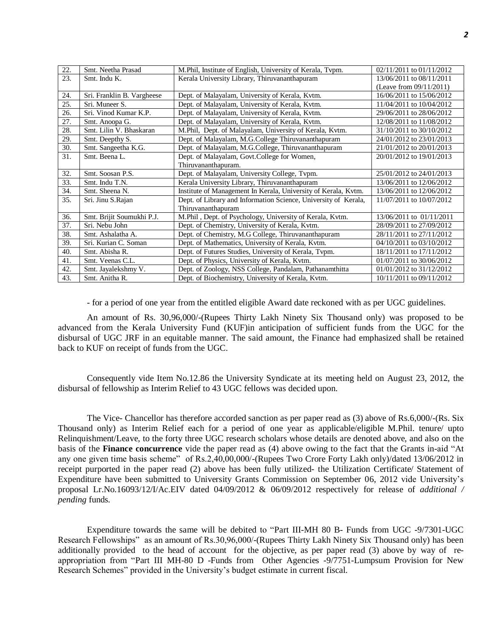| 22. | Smt. Neetha Prasad         | M.Phil, Institute of English, University of Kerala, Tvpm.       | $02/11/2011$ to $01/11/2012$ |
|-----|----------------------------|-----------------------------------------------------------------|------------------------------|
| 23. | Smt. Indu K.               | Kerala University Library, Thiruvananthapuram                   | 13/06/2011 to 08/11/2011     |
|     |                            |                                                                 | (Leave from $09/11/2011$ )   |
| 24. | Sri. Franklin B. Vargheese | Dept. of Malayalam, University of Kerala, Kytm.                 | 16/06/2011 to 15/06/2012     |
| 25. | Sri. Muneer S.             | Dept. of Malayalam, University of Kerala, Kvtm.                 | 11/04/2011 to 10/04/2012     |
| 26. | Sri. Vinod Kumar K.P.      | Dept. of Malayalam, University of Kerala, Kvtm.                 | 29/06/2011 to 28/06/2012     |
| 27. | Smt. Anoopa G.             | Dept. of Malayalam, University of Kerala, Kytm.                 | 12/08/2011 to 11/08/2012     |
| 28. | Smt. Lilin V. Bhaskaran    | M.Phil, Dept. of Malayalam, University of Kerala, Kvtm.         | 31/10/2011 to 30/10/2012     |
| 29. | Smt. Deepthy S.            | Dept. of Malayalam, M.G.College Thiruvananthapuram              | 24/01/2012 to 23/01/2013     |
| 30. | Smt. Sangeetha K.G.        | Dept. of Malayalam, M.G.College, Thiruvananthapuram             | 21/01/2012 to 20/01/2013     |
| 31. | Smt. Beena L.              | Dept. of Malayalam, Govt.College for Women,                     | 20/01/2012 to 19/01/2013     |
|     |                            | Thiruvananthapuram.                                             |                              |
| 32. | Smt. Soosan P.S.           | Dept. of Malayalam, University College, Tvpm.                   | 25/01/2012 to 24/01/2013     |
| 33. | Smt. Indu T.N.             | Kerala University Library, Thiruvananthapuram                   | 13/06/2011 to 12/06/2012     |
| 34. | Smt. Sheena N.             | Institute of Management In Kerala, University of Kerala, Kvtm.  | 13/06/2011 to 12/06/2012     |
| 35. | Sri. Jinu S.Rajan          | Dept. of Library and Information Science, University of Kerala, | 11/07/2011 to 10/07/2012     |
|     |                            | Thiruvananthapuram                                              |                              |
| 36. | Smt. Brijit Soumukhi P.J.  | M.Phil, Dept. of Psychology, University of Kerala, Kvtm.        | 13/06/2011 to 01/11/2011     |
| 37. | Sri. Nebu John             | Dept. of Chemistry, University of Kerala, Kvtm.                 | 28/09/2011 to 27/09/2012     |
| 38. | Smt. Ashalatha A.          | Dept. of Chemistry, M.G College, Thiruvananthapuram             | 28/11/2011 to 27/11/2012     |
| 39. | Sri. Kurian C. Soman       | Dept. of Mathematics, University of Kerala, Kvtm.               | 04/10/2011 to 03/10/2012     |
| 40. | Smt. Abisha R.             | Dept. of Futures Studies, University of Kerala, Tvpm.           | 18/11/2011 to 17/11/2012     |
| 41. | Smt. Veenas C.L.           | Dept. of Physics, University of Kerala, Kvtm.                   | 01/07/2011 to 30/06/2012     |
| 42. | Smt. Jayalekshmy V.        | Dept. of Zoology, NSS College, Pandalam, Pathanamthitta         | 01/01/2012 to 31/12/2012     |
| 43. | Smt. Anitha R.             | Dept. of Biochemistry, University of Kerala, Kvtm.              | 10/11/2011 to 09/11/2012     |
|     |                            |                                                                 |                              |

- for a period of one year from the entitled eligible Award date reckoned with as per UGC guidelines.

An amount of Rs. 30,96,000/-(Rupees Thirty Lakh Ninety Six Thousand only) was proposed to be advanced from the Kerala University Fund (KUF)in anticipation of sufficient funds from the UGC for the disbursal of UGC JRF in an equitable manner. The said amount, the Finance had emphasized shall be retained back to KUF on receipt of funds from the UGC.

Consequently vide Item No.12.86 the University Syndicate at its meeting held on August 23, 2012, the disbursal of fellowship as Interim Relief to 43 UGC fellows was decided upon.

The Vice- Chancellor has therefore accorded sanction as per paper read as (3) above of Rs.6,000/-(Rs. Six Thousand only) as Interim Relief each for a period of one year as applicable/eligible M.Phil. tenure/ upto Relinquishment/Leave, to the forty three UGC research scholars whose details are denoted above, and also on the basis of the **Finance concurrence** vide the paper read as (4) above owing to the fact that the Grants in-aid "At any one given time basis scheme" of Rs.2,40,00,000/-(Rupees Two Crore Forty Lakh only)/dated 13/06/2012 in receipt purported in the paper read (2) above has been fully utilized- the Utilization Certificate/ Statement of Expenditure have been submitted to University Grants Commission on September 06, 2012 vide University's proposal Lr.No.16093/12/I/Ac.EIV dated 04/09/2012 & 06/09/2012 respectively for release of *additional / pending* funds*.* 

Expenditure towards the same will be debited to "Part III-MH 80 B- Funds from UGC -9/7301-UGC Research Fellowships" as an amount of Rs.30,96,000/-(Rupees Thirty Lakh Ninety Six Thousand only) has been additionally provided to the head of account for the objective, as per paper read (3) above by way of reappropriation from "Part III MH-80 D -Funds from Other Agencies -9/7751-Lumpsum Provision for New Research Schemes" provided in the University's budget estimate in current fiscal.